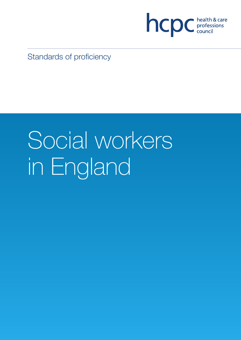

Standards of proficiency

# Social workers in England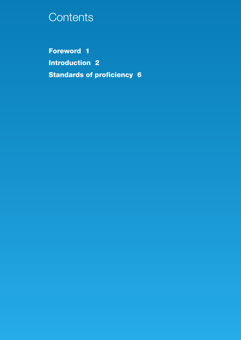# **Contents**

**Foreword 1 Introduction 2 Standards of proficiency 6**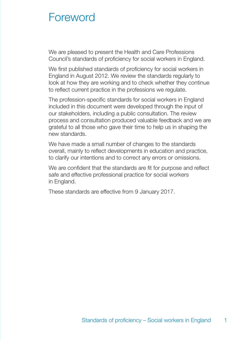# **Foreword**

We are pleased to present the Health and Care Professions Council's standards of proficiency for social workers in England.

We first published standards of proficiency for social workers in England in August 2012. We review the standards regularly to look at how they are working and to check whether they continue to reflect current practice in the professions we regulate.

The profession-specific standards for social workers in England included in this document were developed through the input of our stakeholders, including a public consultation. The review process and consultation produced valuable feedback and we are grateful to all those who gave their time to help us in shaping the new standards.

We have made a small number of changes to the standards overall, mainly to reflect developments in education and practice, to clarify our intentions and to correct any errors or omissions.

We are confident that the standards are fit for purpose and reflect safe and effective professional practice for social workers in England.

These standards are effective from 9 January 2017.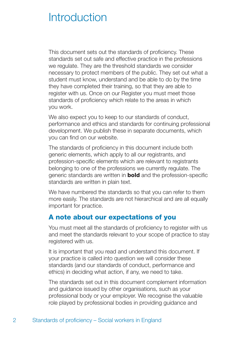# Introduction

This document sets out the standards of proficiency. These standards set out safe and effective practice in the professions we regulate. They are the threshold standards we consider necessary to protect members of the public. They set out what a student must know, understand and be able to do by the time they have completed their training, so that they are able to register with us. Once on our Register you must meet those standards of proficiency which relate to the areas in which you work.

We also expect you to keep to our standards of conduct, performance and ethics and standards for continuing professional development. We publish these in separate documents, which you can find on our website.

The standards of proficiency in this document include both generic elements, which apply to all our registrants, and profession-specific elements which are relevant to registrants belonging to one of the professions we currently regulate. The generic standards are written in **bold** and the profession-specific standards are written in plain text.

We have numbered the standards so that you can refer to them more easily. The standards are not hierarchical and are all equally important for practice.

## **A note about our expectations of you**

You must meet all the standards of proficiency to register with us and meet the standards relevant to your scope of practice to stay registered with us.

It is important that you read and understand this document. If your practice is called into question we will consider these standards (and our standards of conduct, performance and ethics) in deciding what action, if any, we need to take.

The standards set out in this document complement information and guidance issued by other organisations, such as your professional body or your employer. We recognise the valuable role played by professional bodies in providing guidance and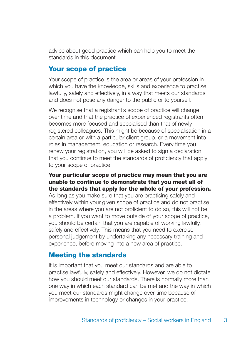advice about good practice which can help you to meet the standards in this document.

## **Your scope of practice**

Your scope of practice is the area or areas of your profession in which you have the knowledge, skills and experience to practise lawfully, safely and effectively, in a way that meets our standards and does not pose any danger to the public or to yourself.

We recognise that a registrant's scope of practice will change over time and that the practice of experienced registrants often becomes more focused and specialised than that of newly registered colleagues. This might be because of specialisation in a certain area or with a particular client group, or a movement into roles in management, education or research. Every time you renew your registration, you will be asked to sign a declaration that you continue to meet the standards of proficiency that apply to your scope of practice.

#### **Your particular scope of practice may mean that you are unable to continue to demonstrate that you meet all of the standards that apply for the whole of your profession.**

As long as you make sure that you are practising safely and effectively within your given scope of practice and do not practise in the areas where you are not proficient to do so, this will not be a problem. If you want to move outside of your scope of practice, you should be certain that you are capable of working lawfully, safely and effectively. This means that you need to exercise personal judgement by undertaking any necessary training and experience, before moving into a new area of practice.

## **Meeting the standards**

It is important that you meet our standards and are able to practise lawfully, safely and effectively. However, we do not dictate how you should meet our standards. There is normally more than one way in which each standard can be met and the way in which you meet our standards might change over time because of improvements in technology or changes in your practice.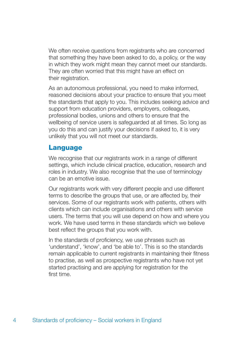We often receive questions from registrants who are concerned that something they have been asked to do, a policy, or the way in which they work might mean they cannot meet our standards. They are often worried that this might have an effect on their registration.

As an autonomous professional, you need to make informed, reasoned decisions about your practice to ensure that you meet the standards that apply to you. This includes seeking advice and support from education providers, employers, colleagues, professional bodies, unions and others to ensure that the wellbeing of service users is safeguarded at all times. So long as you do this and can justify your decisions if asked to, it is very unlikely that you will not meet our standards.

## **Language**

We recognise that our registrants work in a range of different settings, which include clinical practice, education, research and roles in industry. We also recognise that the use of terminology can be an emotive issue.

Our registrants work with very different people and use different terms to describe the groups that use, or are affected by, their services. Some of our registrants work with patients, others with clients which can include organisations and others with service users. The terms that you will use depend on how and where you work. We have used terms in these standards which we believe best reflect the groups that you work with.

In the standards of proficiency, we use phrases such as 'understand', 'know', and 'be able to'. This is so the standards remain applicable to current registrants in maintaining their fitness to practise, as well as prospective registrants who have not yet started practising and are applying for registration for the first time.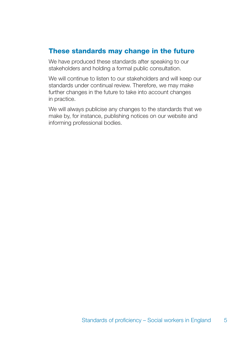## **These standards may change in the future**

We have produced these standards after speaking to our stakeholders and holding a formal public consultation.

We will continue to listen to our stakeholders and will keep our standards under continual review. Therefore, we may make further changes in the future to take into account changes in practice.

We will always publicise any changes to the standards that we make by, for instance, publishing notices on our website and informing professional bodies.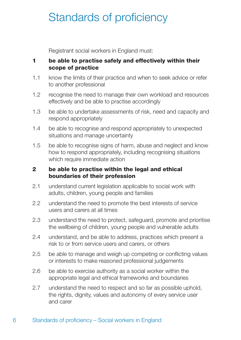# Standards of proficiency

Registrant social workers in England must:

#### **1 be able to practise safely and effectively within their scope of practice**

- 1.1 know the limits of their practice and when to seek advice or refer to another professional
- 1.2 recognise the need to manage their own workload and resources effectively and be able to practise accordingly
- 1.3 be able to undertake assessments of risk, need and capacity and respond appropriately
- 1.4 be able to recognise and respond appropriately to unexpected situations and manage uncertainty
- 1.5 be able to recognise signs of harm, abuse and neglect and know how to respond appropriately, including recognising situations which require immediate action

#### **2 be able to practise within the legal and ethical boundaries of their profession**

- 2.1 understand current legislation applicable to social work with adults, children, young people and families
- 2.2 understand the need to promote the best interests of service users and carers at all times
- 2.3 understand the need to protect, safeguard, promote and prioritise the wellbeing of children, young people and vulnerable adults
- 2.4 understand, and be able to address, practices which present a risk to or from service users and carers, or others
- 2.5 be able to manage and weigh up competing or conflicting values or interests to make reasoned professional judgements
- 2.6 be able to exercise authority as a social worker within the appropriate legal and ethical frameworks and boundaries
- 2.7 understand the need to respect and so far as possible uphold, the rights, dignity, values and autonomy of every service user and carer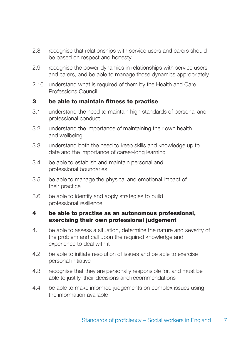- 2.8 recognise that relationships with service users and carers should be based on respect and honesty
- 2.9 recognise the power dynamics in relationships with service users and carers, and be able to manage those dynamics appropriately
- 2.10 understand what is required of them by the Health and Care Professions Council

#### **3 be able to maintain fitness to practise**

- 3.1 understand the need to maintain high standards of personal and professional conduct
- 3.2 understand the importance of maintaining their own health and wellbeing
- 3.3 understand both the need to keep skills and knowledge up to date and the importance of career-long learning
- 3.4 be able to establish and maintain personal and professional boundaries
- 3.5 be able to manage the physical and emotional impact of their practice
- 3.6 be able to identify and apply strategies to build professional resilience

#### **4 be able to practise as an autonomous professional, exercising their own professional judgement**

- 4.1 be able to assess a situation, determine the nature and severity of the problem and call upon the required knowledge and experience to deal with it
- 4.2 be able to initiate resolution of issues and be able to exercise personal initiative
- 4.3 recognise that they are personally responsible for, and must be able to justify, their decisions and recommendations
- 4.4 be able to make informed judgements on complex issues using the information available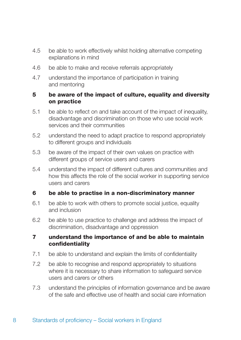- 4.5 be able to work effectively whilst holding alternative competing explanations in mind
- 4.6 be able to make and receive referrals appropriately
- 4.7 understand the importance of participation in training and mentoring

#### **5 be aware of the impact of culture, equality and diversity on practice**

- 5.1 be able to reflect on and take account of the impact of inequality, disadvantage and discrimination on those who use social work services and their communities
- 5.2 understand the need to adapt practice to respond appropriately to different groups and individuals
- 5.3 be aware of the impact of their own values on practice with different groups of service users and carers
- 5.4 understand the impact of different cultures and communities and how this affects the role of the social worker in supporting service users and carers

#### **6 be able to practise in a non-discriminatory manner**

- 6.1 be able to work with others to promote social justice, equality and inclusion
- 6.2 be able to use practice to challenge and address the impact of discrimination, disadvantage and oppression

#### **7 understand the importance of and be able to maintain confidentiality**

- 7.1 be able to understand and explain the limits of confidentiality
- 7.2 be able to recognise and respond appropriately to situations where it is necessary to share information to safeguard service users and carers or others
- 7.3 understand the principles of information governance and be aware of the safe and effective use of health and social care information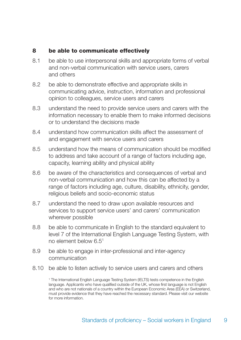#### **8 be able to communicate effectively**

- 8.1 be able to use interpersonal skills and appropriate forms of verbal and non-verbal communication with service users, carers and others
- 8.2 be able to demonstrate effective and appropriate skills in communicating advice, instruction, information and professional opinion to colleagues, service users and carers
- 8.3 understand the need to provide service users and carers with the information necessary to enable them to make informed decisions or to understand the decisions made
- 8.4 understand how communication skills affect the assessment of and engagement with service users and carers
- 8.5 understand how the means of communication should be modified to address and take account of a range of factors including age, capacity, learning ability and physical ability
- 8.6 be aware of the characteristics and consequences of verbal and non-verbal communication and how this can be affected by a range of factors including age, culture, disability, ethnicity, gender, religious beliefs and socio-economic status
- 8.7 understand the need to draw upon available resources and services to support service users' and carers' communication wherever possible
- 8.8 be able to communicate in English to the standard equivalent to level 7 of the International English Language Testing System, with no element below 6.51
- 8.9 be able to engage in inter-professional and inter-agency communication
- 8.10 be able to listen actively to service users and carers and others

<sup>1</sup> The International English Language Testing System (IELTS) tests competence in the English language. Applicants who have qualified outside of the UK, whose first language is not English and who are not nationals of a country within the European Economic Area (EEA) or Switzerland, must provide evidence that they have reached the necessary standard. Please visit our website for more information.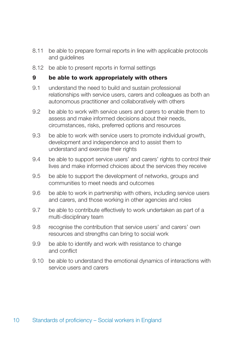- 8.11 be able to prepare formal reports in line with applicable protocols and guidelines
- 8.12 be able to present reports in formal settings

#### **9 be able to work appropriately with others**

- 9.1 understand the need to build and sustain professional relationships with service users, carers and colleagues as both an autonomous practitioner and collaboratively with others
- 9.2 be able to work with service users and carers to enable them to assess and make informed decisions about their needs, circumstances, risks, preferred options and resources
- 9.3 be able to work with service users to promote individual growth, development and independence and to assist them to understand and exercise their rights
- 9.4 be able to support service users' and carers' rights to control their lives and make informed choices about the services they receive
- 9.5 be able to support the development of networks, groups and communities to meet needs and outcomes
- 9.6 be able to work in partnership with others, including service users and carers, and those working in other agencies and roles
- 9.7 be able to contribute effectively to work undertaken as part of a multi-disciplinary team
- 9.8 recognise the contribution that service users' and carers' own resources and strengths can bring to social work
- 9.9 be able to identify and work with resistance to change and conflict
- 9.10 be able to understand the emotional dynamics of interactions with service users and carers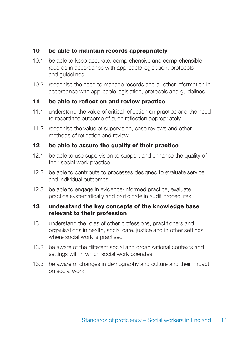#### **10 be able to maintain records appropriately**

- 10.1 be able to keep accurate, comprehensive and comprehensible records in accordance with applicable legislation, protocols and guidelines
- 10.2 recognise the need to manage records and all other information in accordance with applicable legislation, protocols and guidelines

#### **11 be able to reflect on and review practice**

- 11.1 understand the value of critical reflection on practice and the need to record the outcome of such reflection appropriately
- 11.2 recognise the value of supervision, case reviews and other methods of reflection and review

#### **12 be able to assure the quality of their practice**

- 12.1 be able to use supervision to support and enhance the quality of their social work practice
- 12.2 be able to contribute to processes designed to evaluate service and individual outcomes
- 12.3 be able to engage in evidence-informed practice, evaluate practice systematically and participate in audit procedures

#### **13 understand the key concepts of the knowledge base relevant to their profession**

- 13.1 understand the roles of other professions, practitioners and organisations in health, social care, justice and in other settings where social work is practised
- 13.2 be aware of the different social and organisational contexts and settings within which social work operates
- 13.3 be aware of changes in demography and culture and their impact on social work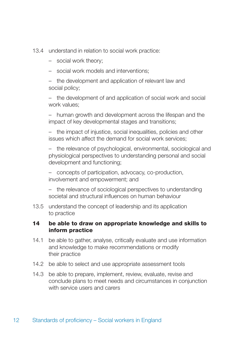13.4 understand in relation to social work practice:

- social work theory;
- social work models and interventions;
- the development and application of relevant law and social policy;

– the development of and application of social work and social work values;

– human growth and development across the lifespan and the impact of key developmental stages and transitions;

– the impact of injustice, social inequalities, policies and other issues which affect the demand for social work services;

– the relevance of psychological, environmental, sociological and physiological perspectives to understanding personal and social development and functioning;

– concepts of participation, advocacy, co-production, involvement and empowerment; and

– the relevance of sociological perspectives to understanding societal and structural influences on human behaviour

13.5 understand the concept of leadership and its application to practice

#### **14 be able to draw on appropriate knowledge and skills to inform practice**

- 14.1 be able to gather, analyse, critically evaluate and use information and knowledge to make recommendations or modify their practice
- 14.2 be able to select and use appropriate assessment tools
- 14.3 be able to prepare, implement, review, evaluate, revise and conclude plans to meet needs and circumstances in conjunction with service users and carers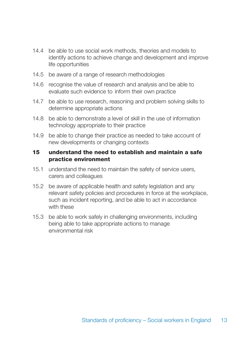- 14.4 be able to use social work methods, theories and models to identify actions to achieve change and development and improve life opportunities
- 14.5 be aware of a range of research methodologies
- 14.6 recognise the value of research and analysis and be able to evaluate such evidence to inform their own practice
- 14.7 be able to use research, reasoning and problem solving skills to determine appropriate actions
- 14.8 be able to demonstrate a level of skill in the use of information technology appropriate to their practice
- 14.9 be able to change their practice as needed to take account of new developments or changing contexts

#### **15 understand the need to establish and maintain a safe practice environment**

- 15.1 understand the need to maintain the safety of service users, carers and colleagues
- 15.2 be aware of applicable health and safety legislation and any relevant safety policies and procedures in force at the workplace, such as incident reporting, and be able to act in accordance with these
- 15.3 be able to work safely in challenging environments, including being able to take appropriate actions to manage environmental risk